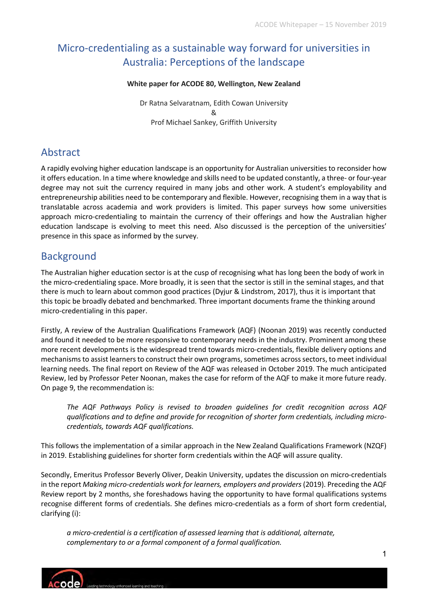# Micro-credentialing as a sustainable way forward for universities in Australia: Perceptions of the landscape

#### **White paper for ACODE 80, Wellington, New Zealand**

Dr Ratna Selvaratnam, Edith Cowan University & Prof Michael Sankey, Griffith University

### Abstract

A rapidly evolving higher education landscape is an opportunity for Australian universities to reconsider how it offers education. In a time where knowledge and skills need to be updated constantly, a three- or four-year degree may not suit the currency required in many jobs and other work. A student's employability and entrepreneurship abilities need to be contemporary and flexible. However, recognising them in a way that is translatable across academia and work providers is limited. This paper surveys how some universities approach micro-credentialing to maintain the currency of their offerings and how the Australian higher education landscape is evolving to meet this need. Also discussed is the perception of the universities' presence in this space as informed by the survey.

## **Background**

The Australian higher education sector is at the cusp of recognising what has long been the body of work in the micro-credentialing space. More broadly, it is seen that the sector is still in the seminal stages, and that there is much to learn about common good practices (Dyjur & Lindstrom, 2017), thus it is important that this topic be broadly debated and benchmarked. Three important documents frame the thinking around micro-credentialing in this paper.

Firstly, A review of the Australian Qualifications Framework (AQF) (Noonan 2019) was recently conducted and found it needed to be more responsive to contemporary needs in the industry. Prominent among these more recent developments is the widespread trend towards micro-credentials, flexible delivery options and mechanisms to assist learners to construct their own programs, sometimes across sectors, to meet individual learning needs. The final report on Review of the AQF was released in October 2019. The much anticipated Review, led by Professor Peter Noonan, makes the case for reform of the AQF to make it more future ready. On page 9, the recommendation is:

*The AQF Pathways Policy is revised to broaden guidelines for credit recognition across AQF qualifications and to define and provide for recognition of shorter form credentials, including microcredentials, towards AQF qualifications.*

This follows the implementation of a similar approach in the New Zealand Qualifications Framework (NZQF) in 2019. Establishing guidelines for shorter form credentials within the AQF will assure quality.

Secondly, Emeritus Professor Beverly Oliver, Deakin University, updates the discussion on micro-credentials in the report *Making micro-credentials work for learners, employers and providers* (2019). Preceding the AQF Review report by 2 months, she foreshadows having the opportunity to have formal qualifications systems recognise different forms of credentials. She defines micro-credentials as a form of short form credential, clarifying (i):

*a micro-credential is a certification of assessed learning that is additional, alternate, complementary to or a formal component of a formal qualification.* 

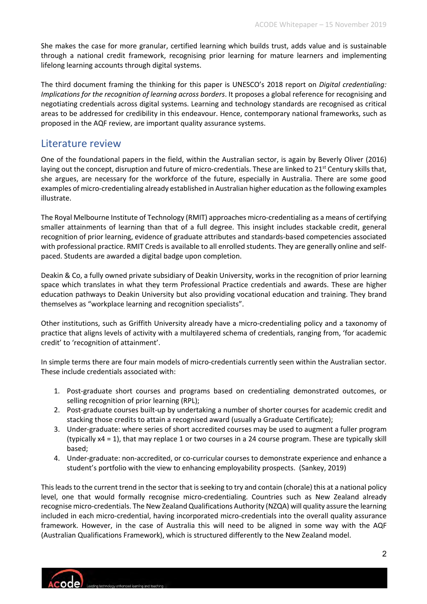She makes the case for more granular, certified learning which builds trust, adds value and is sustainable through a national credit framework, recognising prior learning for mature learners and implementing lifelong learning accounts through digital systems.

The third document framing the thinking for this paper is UNESCO's 2018 report on *Digital credentialing: Implications for the recognition of learning across borders*. It proposes a global reference for recognising and negotiating credentials across digital systems. Learning and technology standards are recognised as critical areas to be addressed for credibility in this endeavour. Hence, contemporary national frameworks, such as proposed in the AQF review, are important quality assurance systems.

### Literature review

One of the foundational papers in the field, within the Australian sector, is again by Beverly Oliver (2016) laying out the concept, disruption and future of micro-credentials. These are linked to  $21<sup>st</sup>$  Century skills that, she argues, are necessary for the workforce of the future, especially in Australia. There are some good examples of micro-credentialing already established in Australian higher education as the following examples illustrate.

The Royal Melbourne Institute of Technology (RMIT) approaches micro-credentialing as a means of certifying smaller attainments of learning than that of a full degree. This insight includes stackable credit, general recognition of prior learning, evidence of graduate attributes and standards-based competencies associated with professional practice. RMIT Creds is available to all enrolled students. They are generally online and selfpaced. Students are awarded a digital badge upon completion.

Deakin & Co, a fully owned private subsidiary of Deakin University, works in the recognition of prior learning space which translates in what they term Professional Practice credentials and awards. These are higher education pathways to Deakin University but also providing vocational education and training. They brand themselves as "workplace learning and recognition specialists".

Other institutions, such as Griffith University already have a micro-credentialing policy and a taxonomy of practice that aligns levels of activity with a multilayered schema of credentials, ranging from, 'for academic credit' to 'recognition of attainment'.

In simple terms there are four main models of micro-credentials currently seen within the Australian sector. These include credentials associated with:

- 1. Post-graduate short courses and programs based on credentialing demonstrated outcomes, or selling recognition of prior learning (RPL);
- 2. Post-graduate courses built-up by undertaking a number of shorter courses for academic credit and stacking those credits to attain a recognised award (usually a Graduate Certificate);
- 3. Under-graduate: where series of short accredited courses may be used to augment a fuller program (typically x4 = 1), that may replace 1 or two courses in a 24 course program. These are typically skill based;
- 4. Under-graduate: non-accredited, or co-curricular courses to demonstrate experience and enhance a student's portfolio with the view to enhancing employability prospects. (Sankey, 2019)

This leads to the current trend in the sector that is seeking to try and contain (chorale) this at a national policy level, one that would formally recognise micro-credentialing. Countries such as New Zealand already recognise micro-credentials. The New Zealand Qualifications Authority (NZQA) will quality assure the learning included in each micro-credential, having incorporated micro-credentials into the overall quality assurance framework. However, in the case of Australia this will need to be aligned in some way with the AQF (Australian Qualifications Framework), which is structured differently to the New Zealand model.

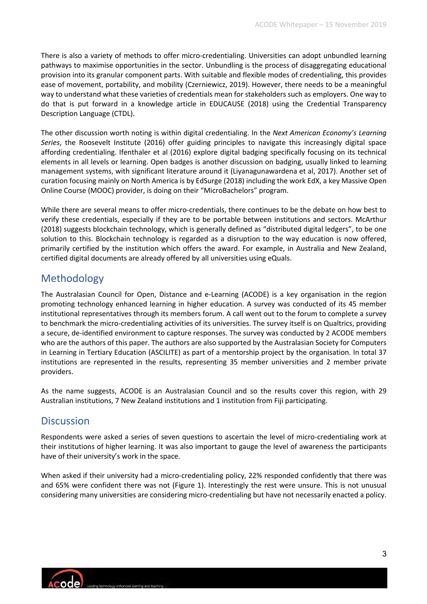There is also a variety of methods to offer micro-credentialing. Universities can adopt unbundled learning pathways to maximise opportunities in the sector. Unbundling is the process of disaggregating educational provision into its granular component parts. With suitable and flexible modes of credentialing, this provides ease of movement, portability, and mobility (Czerniewicz, 2019). However, there needs to be a meaningful way to understand what these varieties of credentials mean for stakeholders such as employers. One way to do that is put forward in a knowledge article in EDUCAUSE (2018) using the Credential Transparency Description Language (CTDL).

The other discussion worth noting is within digital credentialing. In the *Next American Economy's Learning Series*, the Roosevelt Institute (2016) offer guiding principles to navigate this increasingly digital space affording credentialing. Ifenthaler et al (2016) explore digital badging specifically focusing on its technical elements in all levels or learning. Open badges is another discussion on badging, usually linked to learning management systems, with significant literature around it (Liyanagunawardena et al, 2017). Another set of curation focusing mainly on North America is by EdSurge (2018) including the work EdX, a key Massive Open Online Course (MOOC) provider, is doing on their "MicroBachelors" program.

While there are several means to offer micro-credentials, there continues to be the debate on how best to verify these credentials, especially if they are to be portable between institutions and sectors. McArthur (2018) suggests blockchain technology, which is generally defined as "distributed digital ledgers", to be one solution to this. Blockchain technology is regarded as a disruption to the way education is now offered, primarily certified by the institution which offers the award. For example, in Australia and New Zealand, certified digital documents are already offered by all universities using eQuals.

## Methodology

The Australasian Council for Open, Distance and e-Learning (ACODE) is a key organisation in the region promoting technology enhanced learning in higher education. A survey was conducted of its 45 member institutional representatives through its members forum. A call went out to the forum to complete a survey to benchmark the micro-credentialing activities of its universities. The survey itself is on Qualtrics, providing a secure, de-identified environment to capture responses. The survey was conducted by 2 ACODE members who are the authors of this paper. The authors are also supported by the Australasian Society for Computers in Learning in Tertiary Education (ASCILITE) as part of a mentorship project by the organisation. In total 37 institutions are represented in the results, representing 35 member universities and 2 member private providers.

As the name suggests, ACODE is an Australasian Council and so the results cover this region, with 29 Australian institutions, 7 New Zealand institutions and 1 institution from Fiji participating.

### **Discussion**

Respondents were asked a series of seven questions to ascertain the level of micro-credentialing work at their institutions of higher learning. It was also important to gauge the level of awareness the participants have of their university's work in the space.

When asked if their university had a micro-credentialing policy, 22% responded confidently that there was and 65% were confident there was not (Figure 1). Interestingly the rest were unsure. This is not unusual considering many universities are considering micro-credentialing but have not necessarily enacted a policy.

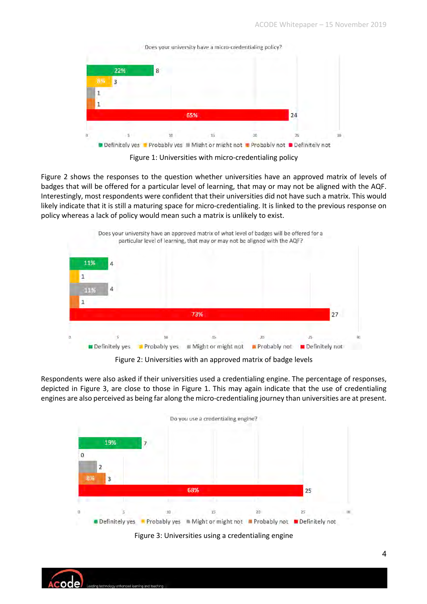|    | 22% | 8   |  |  |    |  |
|----|-----|-----|--|--|----|--|
| B% |     |     |  |  |    |  |
|    |     |     |  |  |    |  |
|    |     |     |  |  |    |  |
|    |     | 65% |  |  |    |  |
|    |     |     |  |  | 24 |  |

Figure 1: Universities with micro-credentialing policy

Figure 2 shows the responses to the question whether universities have an approved matrix of levels of badges that will be offered for a particular level of learning, that may or may not be aligned with the AQF. Interestingly, most respondents were confident that their universities did not have such a matrix. This would likely indicate that it is still a maturing space for micro-credentialing. It is linked to the previous response on policy whereas a lack of policy would mean such a matrix is unlikely to exist.



Figure 2: Universities with an approved matrix of badge levels

Respondents were also asked if their universities used a credentialing engine. The percentage of responses, depicted in Figure 3, are close to those in Figure 1. This may again indicate that the use of credentialing engines are also perceived as being far along the micro-credentialing journey than universities are at present.



Figure 3: Universities using a credentialing engine

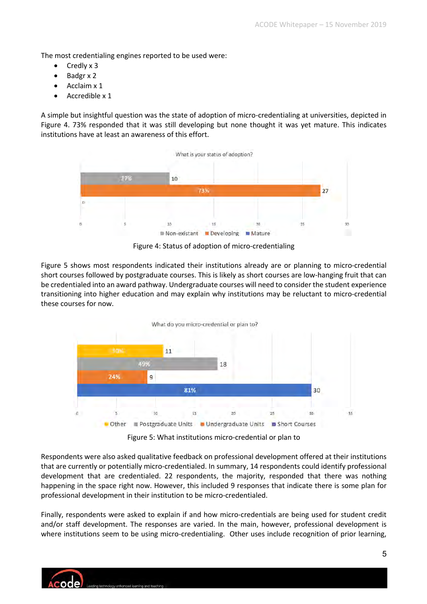The most credentialing engines reported to be used were:

- Credly x 3
- Badgr x 2
- Acclaim x 1
- Accredible x 1

A simple but insightful question was the state of adoption of micro-credentialing at universities, depicted in Figure 4. 73% responded that it was still developing but none thought it was yet mature. This indicates institutions have at least an awareness of this effort.



Figure 4: Status of adoption of micro-credentialing

Figure 5 shows most respondents indicated their institutions already are or planning to micro-credential short courses followed by postgraduate courses. This is likely as short courses are low-hanging fruit that can be credentialed into an award pathway. Undergraduate courses will need to consider the student experience transitioning into higher education and may explain why institutions may be reluctant to micro-credential these courses for now.



Figure 5: What institutions micro-credential or plan to

Respondents were also asked qualitative feedback on professional development offered at their institutions that are currently or potentially micro-credentialed. In summary, 14 respondents could identify professional development that are credentialed. 22 respondents, the majority, responded that there was nothing happening in the space right now. However, this included 9 responses that indicate there is some plan for professional development in their institution to be micro-credentialed.

Finally, respondents were asked to explain if and how micro-credentials are being used for student credit and/or staff development. The responses are varied. In the main, however, professional development is where institutions seem to be using micro-credentialing. Other uses include recognition of prior learning,

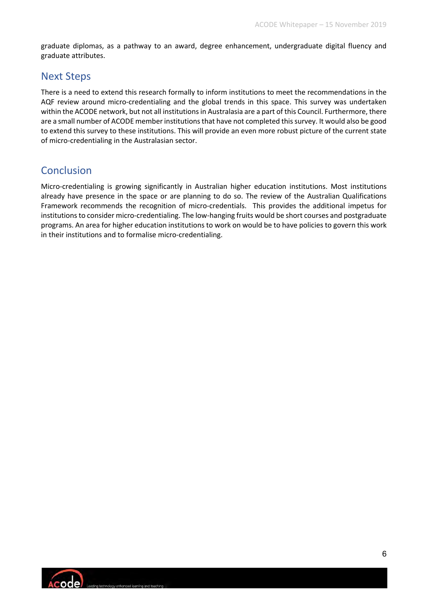graduate diplomas, as a pathway to an award, degree enhancement, undergraduate digital fluency and graduate attributes.

## Next Steps

There is a need to extend this research formally to inform institutions to meet the recommendations in the AQF review around micro-credentialing and the global trends in this space. This survey was undertaken within the ACODE network, but not all institutions in Australasia are a part of this Council. Furthermore, there are a small number of ACODE member institutions that have not completed this survey. It would also be good to extend this survey to these institutions. This will provide an even more robust picture of the current state of micro-credentialing in the Australasian sector.

# Conclusion

Micro-credentialing is growing significantly in Australian higher education institutions. Most institutions already have presence in the space or are planning to do so. The review of the Australian Qualifications Framework recommends the recognition of micro-credentials. This provides the additional impetus for institutions to consider micro-credentialing. The low-hanging fruits would be short courses and postgraduate programs. An area for higher education institutions to work on would be to have policies to govern this work in their institutions and to formalise micro-credentialing.